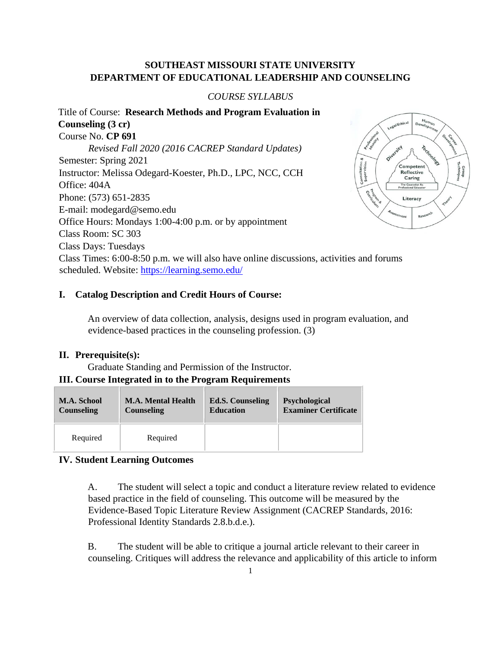# **SOUTHEAST MISSOURI STATE UNIVERSITY DEPARTMENT OF EDUCATIONAL LEADERSHIP AND COUNSELING**

## *COURSE SYLLABUS*

Title of Course: **Research Methods and Program Evaluation in Counseling (3 cr)**  Course No. **CP 691**  *Revised Fall 2020 (2016 CACREP Standard Updates)* Semester: Spring 2021 Consultation &<br>Supervision Instructor: Melissa Odegard-Koester, Ph.D., LPC, NCC, CCH Office: 404A Phone: (573) 651-2835 E-mail: modegard@semo.edu Office Hours: Mondays 1:00-4:00 p.m. or by appointment Class Room: SC 303 Class Days: Tuesdays Class Times: 6:00-8:50 p.m. we will also have online discussions, activities and forums scheduled. Website: https://learning.semo.edu/

#### **I. Catalog Description and Credit Hours of Course:**

An overview of data collection, analysis, designs used in program evaluation, and evidence-based practices in the counseling profession. (3)

#### **II. Prerequisite(s):**

Graduate Standing and Permission of the Instructor.

# **III. Course Integrated in to the Program Requirements**

| M.A. School | <b>M.A. Mental Health</b> | <b>Ed.S. Counseling</b> | <b>Psychological</b>        |
|-------------|---------------------------|-------------------------|-----------------------------|
| Counseling  | <b>Counseling</b>         | <b>Education</b>        | <b>Examiner Certificate</b> |
| Required    | Required                  |                         |                             |

## **IV. Student Learning Outcomes**

A. The student will select a topic and conduct a literature review related to evidence based practice in the field of counseling. This outcome will be measured by the Evidence-Based Topic Literature Review Assignment (CACREP Standards, 2016: Professional Identity Standards 2.8.b.d.e.).

B. The student will be able to critique a journal article relevant to their career in counseling. Critiques will address the relevance and applicability of this article to inform

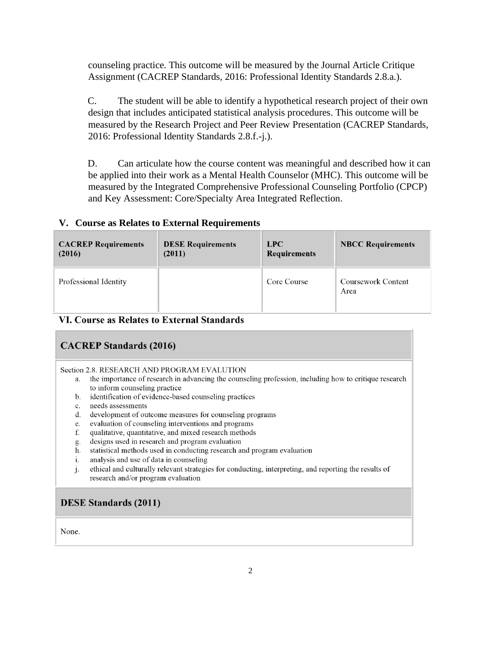counseling practice. This outcome will be measured by the Journal Article Critique Assignment (CACREP Standards, 2016: Professional Identity Standards 2.8.a.).

C. The student will be able to identify a hypothetical research project of their own design that includes anticipated statistical analysis procedures. This outcome will be measured by the Research Project and Peer Review Presentation (CACREP Standards, 2016: Professional Identity Standards 2.8.f.-j.).

D. Can articulate how the course content was meaningful and described how it can be applied into their work as a Mental Health Counselor (MHC). This outcome will be measured by the Integrated Comprehensive Professional Counseling Portfolio (CPCP) and Key Assessment: Core/Specialty Area Integrated Reflection.

## **V. Course as Relates to External Requirements**

| <b>CACREP Requirements</b> | <b>DESE Requirements</b> | LPC                 | <b>NBCC Requirements</b>          |
|----------------------------|--------------------------|---------------------|-----------------------------------|
| (2016)                     | (2011)                   | <b>Requirements</b> |                                   |
| Professional Identity      |                          | Core Course         | <b>Coursework Content</b><br>Area |

## VI. Course as Relates to External Standards

# **CACREP Standards (2016)**

#### Section 2.8. RESEARCH AND PROGRAM EVALUTION

- a. the importance of research in advancing the counseling profession, including how to critique research to inform counseling practice
- b. identification of evidence-based counseling practices
- needs assessments  $c.$
- d. development of outcome measures for counseling programs
- e. evaluation of counseling interventions and programs
- f. qualitative, quantitative, and mixed research methods
- g. designs used in research and program evaluation
- h. statistical methods used in conducting research and program evaluation
- analysis and use of data in counseling  $i$ .
- ethical and culturally relevant strategies for conducting, interpreting, and reporting the results of  $i$ . research and/or program evaluation

## **DESE Standards (2011)**

None.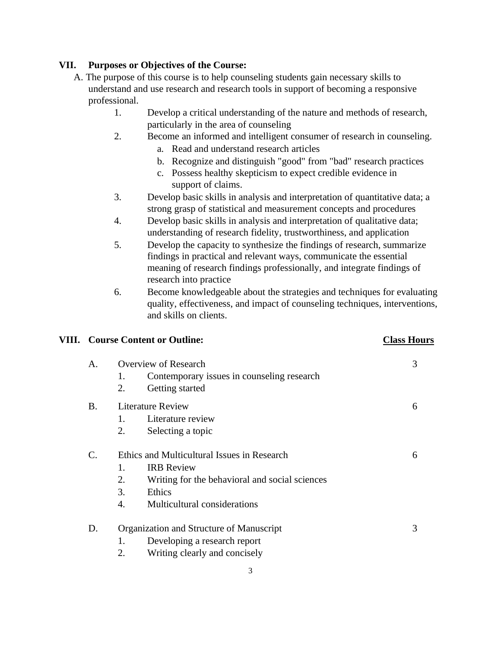# **VII. Purposes or Objectives of the Course:**

- A. The purpose of this course is to help counseling students gain necessary skills to understand and use research and research tools in support of becoming a responsive professional.
	- 1. Develop a critical understanding of the nature and methods of research, particularly in the area of counseling
	- 2. Become an informed and intelligent consumer of research in counseling.
		- a. Read and understand research articles
		- b. Recognize and distinguish "good" from "bad" research practices
		- c. Possess healthy skepticism to expect credible evidence in support of claims.
	- 3. Develop basic skills in analysis and interpretation of quantitative data; a strong grasp of statistical and measurement concepts and procedures
	- 4. Develop basic skills in analysis and interpretation of qualitative data; understanding of research fidelity, trustworthiness, and application
	- 5. Develop the capacity to synthesize the findings of research, summarize findings in practical and relevant ways, communicate the essential meaning of research findings professionally, and integrate findings of research into practice
	- 6. Become knowledgeable about the strategies and techniques for evaluating quality, effectiveness, and impact of counseling techniques, interventions, and skills on clients.

## **VIII. Course Content or Outline: Class Hours**

| A.              | Overview of Research<br>Contemporary issues in counseling research<br>1.<br>2.<br>Getting started | 3 |
|-----------------|---------------------------------------------------------------------------------------------------|---|
| B.              | <b>Literature Review</b>                                                                          |   |
|                 | Literature review<br>1.                                                                           |   |
|                 | 2.<br>Selecting a topic                                                                           |   |
| $\mathcal{C}$ . | Ethics and Multicultural Issues in Research                                                       | 6 |
|                 | <b>IRB</b> Review<br>1.                                                                           |   |
|                 | 2.<br>Writing for the behavioral and social sciences                                              |   |
|                 | 3.<br>Ethics                                                                                      |   |
|                 | Multicultural considerations<br>$\overline{4}$ .                                                  |   |
| D.              | Organization and Structure of Manuscript                                                          |   |
|                 | Developing a research report<br>1.                                                                |   |
|                 | 2.<br>Writing clearly and concisely                                                               |   |
|                 |                                                                                                   |   |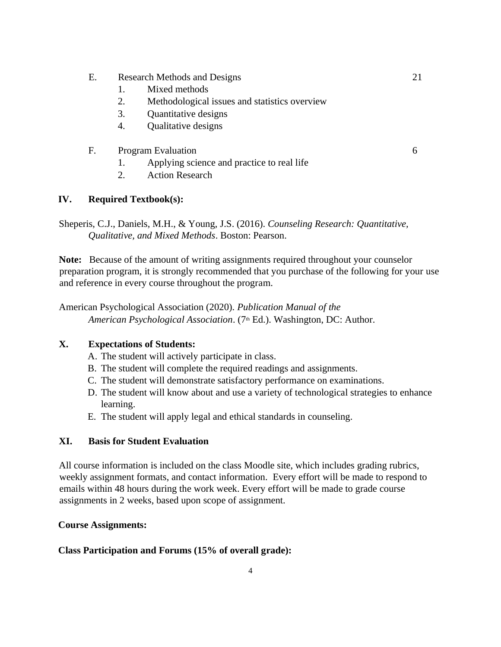- E. Research Methods and Designs 21
	- 1. Mixed methods
	- 2. Methodological issues and statistics overview
	- 3. Quantitative designs
	- 4. Qualitative designs
- F. Program Evaluation 6

- 1. Applying science and practice to real life
- 2. Action Research

# **IV. Required Textbook(s):**

Sheperis, C.J., Daniels, M.H., & Young, J.S. (2016). *Counseling Research: Quantitative, Qualitative, and Mixed Methods*. Boston: Pearson.

**Note:** Because of the amount of writing assignments required throughout your counselor preparation program, it is strongly recommended that you purchase of the following for your use and reference in every course throughout the program.

American Psychological Association (2020). *Publication Manual of the American Psychological Association*. (7th Ed.). Washington, DC: Author.

# **X. Expectations of Students:**

- A. The student will actively participate in class.
- B. The student will complete the required readings and assignments.
- C. The student will demonstrate satisfactory performance on examinations.
- D. The student will know about and use a variety of technological strategies to enhance learning.
- E. The student will apply legal and ethical standards in counseling.

## **XI. Basis for Student Evaluation**

All course information is included on the class Moodle site, which includes grading rubrics, weekly assignment formats, and contact information. Every effort will be made to respond to emails within 48 hours during the work week. Every effort will be made to grade course assignments in 2 weeks, based upon scope of assignment.

## **Course Assignments:**

## **Class Participation and Forums (15% of overall grade):**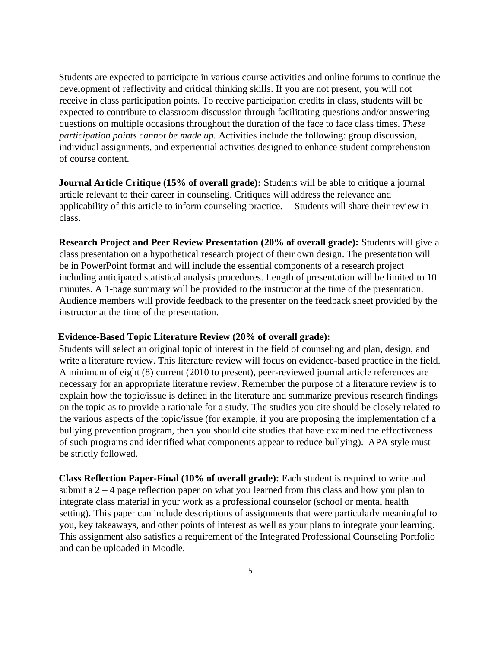Students are expected to participate in various course activities and online forums to continue the development of reflectivity and critical thinking skills. If you are not present, you will not receive in class participation points. To receive participation credits in class, students will be expected to contribute to classroom discussion through facilitating questions and/or answering questions on multiple occasions throughout the duration of the face to face class times. *These participation points cannot be made up.* Activities include the following: group discussion, individual assignments, and experiential activities designed to enhance student comprehension of course content.

**Journal Article Critique (15% of overall grade):** Students will be able to critique a journal article relevant to their career in counseling. Critiques will address the relevance and applicability of this article to inform counseling practice. Students will share their review in class.

**Research Project and Peer Review Presentation (20% of overall grade):** Students will give a class presentation on a hypothetical research project of their own design. The presentation will be in PowerPoint format and will include the essential components of a research project including anticipated statistical analysis procedures. Length of presentation will be limited to 10 minutes. A 1-page summary will be provided to the instructor at the time of the presentation. Audience members will provide feedback to the presenter on the feedback sheet provided by the instructor at the time of the presentation.

#### **Evidence-Based Topic Literature Review (20% of overall grade):**

Students will select an original topic of interest in the field of counseling and plan, design, and write a literature review. This literature review will focus on evidence-based practice in the field. A minimum of eight (8) current (2010 to present), peer-reviewed journal article references are necessary for an appropriate literature review. Remember the purpose of a literature review is to explain how the topic/issue is defined in the literature and summarize previous research findings on the topic as to provide a rationale for a study. The studies you cite should be closely related to the various aspects of the topic/issue (for example, if you are proposing the implementation of a bullying prevention program, then you should cite studies that have examined the effectiveness of such programs and identified what components appear to reduce bullying). APA style must be strictly followed.

**Class Reflection Paper-Final (10% of overall grade):** Each student is required to write and submit a  $2 - 4$  page reflection paper on what you learned from this class and how you plan to integrate class material in your work as a professional counselor (school or mental health setting). This paper can include descriptions of assignments that were particularly meaningful to you, key takeaways, and other points of interest as well as your plans to integrate your learning. This assignment also satisfies a requirement of the Integrated Professional Counseling Portfolio and can be uploaded in Moodle.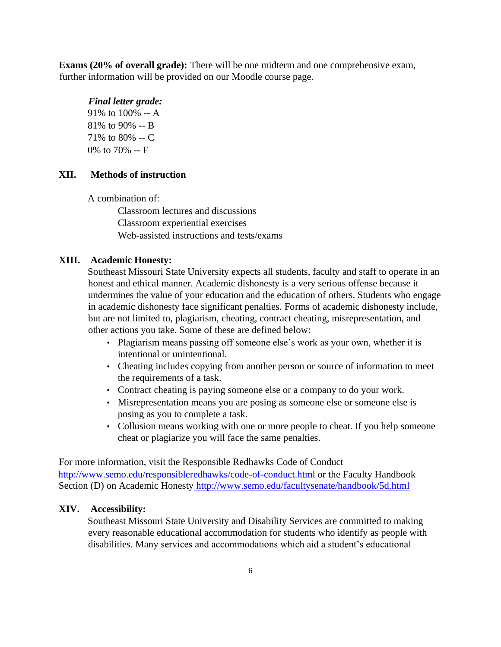**Exams (20% of overall grade):** There will be one midterm and one comprehensive exam, further information will be provided on our Moodle course page.

#### *Final letter grade:*

91% to 100% -- A 81% to 90% -- B 71% to 80% -- C 0% to 70% -- F

## **XII. Methods of instruction**

A combination of:

Classroom lectures and discussions Classroom experiential exercises Web-assisted instructions and tests/exams

#### **XIII. Academic Honesty:**

Southeast Missouri State University expects all students, faculty and staff to operate in an honest and ethical manner. Academic dishonesty is a very serious offense because it undermines the value of your education and the education of others. Students who engage in academic dishonesty face significant penalties. Forms of academic dishonesty include, but are not limited to, plagiarism, cheating, contract cheating, misrepresentation, and other actions you take. Some of these are defined below:

- Plagiarism means passing off someone else's work as your own, whether it is intentional or unintentional.
- Cheating includes copying from another person or source of information to meet the requirements of a task.
- Contract cheating is paying someone else or a company to do your work.
- Misrepresentation means you are posing as someone else or someone else is posing as you to complete a task.
- Collusion means working with one or more people to cheat. If you help someone cheat or plagiarize you will face the same penalties.

For more information, visit the Responsible Redhawks Code of Conduct http://www.semo.edu/responsibleredhawks/code-of-conduct.html or the Faculty Handbook Section (D) on Academic Honesty http://www.semo.edu/facultysenate/handbook/5d.html

## **XIV. Accessibility:**

Southeast Missouri State University and Disability Services are committed to making every reasonable educational accommodation for students who identify as people with disabilities. Many services and accommodations which aid a student's educational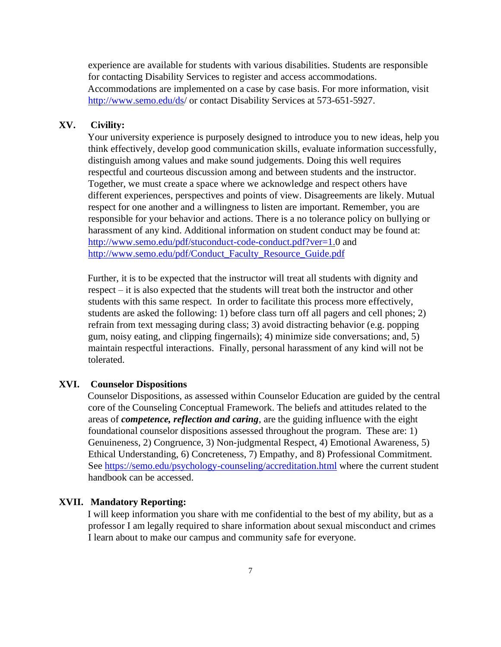experience are available for students with various disabilities. Students are responsible for contacting Disability Services to register and access accommodations. Accommodations are implemented on a case by case basis. For more information, visit http://www.semo.edu/ds/ or contact Disability Services at 573-651-5927.

## **XV. Civility:**

Your university experience is purposely designed to introduce you to new ideas, help you think effectively, develop good communication skills, evaluate information successfully, distinguish among values and make sound judgements. Doing this well requires respectful and courteous discussion among and between students and the instructor. Together, we must create a space where we acknowledge and respect others have different experiences, perspectives and points of view. Disagreements are likely. Mutual respect for one another and a willingness to listen are important. Remember, you are responsible for your behavior and actions. There is a no tolerance policy on bullying or harassment of any kind. Additional information on student conduct may be found at: http://www.semo.edu/pdf/stuconduct-code-conduct.pdf?ver=1.0 and http://www.semo.edu/pdf/Conduct\_Faculty\_Resource\_Guide.pdf

Further, it is to be expected that the instructor will treat all students with dignity and respect – it is also expected that the students will treat both the instructor and other students with this same respect. In order to facilitate this process more effectively, students are asked the following: 1) before class turn off all pagers and cell phones; 2) refrain from text messaging during class; 3) avoid distracting behavior (e.g. popping gum, noisy eating, and clipping fingernails); 4) minimize side conversations; and, 5) maintain respectful interactions. Finally, personal harassment of any kind will not be tolerated.

## **XVI. Counselor Dispositions**

Counselor Dispositions, as assessed within Counselor Education are guided by the central core of the Counseling Conceptual Framework. The beliefs and attitudes related to the areas of *competence, reflection and caring*, are the guiding influence with the eight foundational counselor dispositions assessed throughout the program. These are: 1) Genuineness, 2) Congruence, 3) Non-judgmental Respect, 4) Emotional Awareness, 5) Ethical Understanding, 6) Concreteness, 7) Empathy, and 8) Professional Commitment. See https://semo.edu/psychology-counseling/accreditation.html where the current student handbook can be accessed.

#### **XVII. Mandatory Reporting:**

I will keep information you share with me confidential to the best of my ability, but as a professor I am legally required to share information about sexual misconduct and crimes I learn about to make our campus and community safe for everyone.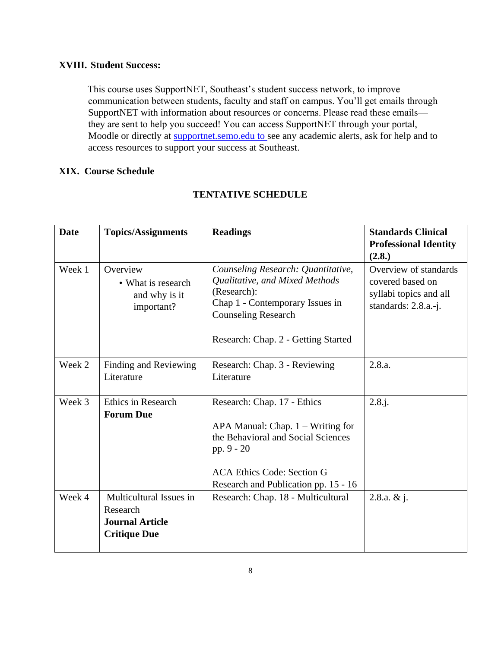## **XVIII. Student Success:**

This course uses SupportNET, Southeast's student success network, to improve communication between students, faculty and staff on campus. You'll get emails through SupportNET with information about resources or concerns. Please read these emails they are sent to help you succeed! You can access SupportNET through your portal, Moodle or directly at supportnet.semo.edu to see any academic alerts, ask for help and to access resources to support your success at Southeast.

## **XIX. Course Schedule**

| <b>Date</b> | <b>Topics/Assignments</b>                                                            | <b>Readings</b>                                                                                                                                                                                 | <b>Standards Clinical</b><br><b>Professional Identity</b><br>(2.8.)                         |
|-------------|--------------------------------------------------------------------------------------|-------------------------------------------------------------------------------------------------------------------------------------------------------------------------------------------------|---------------------------------------------------------------------------------------------|
| Week 1      | Overview<br>• What is research<br>and why is it<br>important?                        | Counseling Research: Quantitative,<br>Qualitative, and Mixed Methods<br>(Research):<br>Chap 1 - Contemporary Issues in<br><b>Counseling Research</b><br>Research: Chap. 2 - Getting Started     | Overview of standards<br>covered based on<br>syllabi topics and all<br>standards: 2.8.a.-j. |
| Week 2      | Finding and Reviewing<br>Literature                                                  | Research: Chap. 3 - Reviewing<br>Literature                                                                                                                                                     | 2.8.a.                                                                                      |
| Week 3      | <b>Ethics in Research</b><br><b>Forum Due</b>                                        | Research: Chap. 17 - Ethics<br>APA Manual: Chap. $1 - W$ riting for<br>the Behavioral and Social Sciences<br>pp. 9 - 20<br>ACA Ethics Code: Section G -<br>Research and Publication pp. 15 - 16 | $2.8.$ j.                                                                                   |
| Week 4      | Multicultural Issues in<br>Research<br><b>Journal Article</b><br><b>Critique Due</b> | Research: Chap. 18 - Multicultural                                                                                                                                                              | 2.8.a. $& 1. $                                                                              |

# **TENTATIVE SCHEDULE**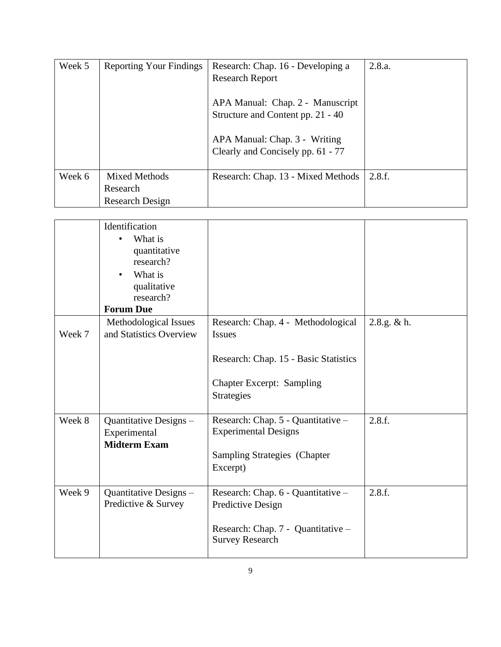| Week 5 | <b>Reporting Your Findings</b>               | Research: Chap. 16 - Developing a<br><b>Research Report</b>           | 2.8.a. |
|--------|----------------------------------------------|-----------------------------------------------------------------------|--------|
|        |                                              | APA Manual: Chap. 2 - Manuscript<br>Structure and Content pp. 21 - 40 |        |
|        |                                              | APA Manual: Chap. 3 - Writing<br>Clearly and Concisely pp. 61 - 77    |        |
| Week 6 | Mixed Methods<br>Research<br>Research Design | Research: Chap. 13 - Mixed Methods                                    | 2.8.f. |

|        | Identification<br>What is<br>quantitative<br>research?<br>What is<br>qualitative<br>research?<br><b>Forum Due</b> |                                                                                                                                                       |             |
|--------|-------------------------------------------------------------------------------------------------------------------|-------------------------------------------------------------------------------------------------------------------------------------------------------|-------------|
| Week 7 | Methodological Issues<br>and Statistics Overview                                                                  | Research: Chap. 4 - Methodological<br><b>Issues</b><br>Research: Chap. 15 - Basic Statistics<br><b>Chapter Excerpt: Sampling</b><br><b>Strategies</b> | 2.8.g. & h. |
| Week 8 | Quantitative Designs -<br>Experimental<br><b>Midterm Exam</b>                                                     | Research: Chap. 5 - Quantitative -<br><b>Experimental Designs</b><br><b>Sampling Strategies (Chapter</b><br>Excerpt)                                  | 2.8.f.      |
| Week 9 | Quantitative Designs -<br>Predictive & Survey                                                                     | Research: Chap. 6 - Quantitative -<br>Predictive Design<br>Research: Chap. 7 - Quantitative -<br><b>Survey Research</b>                               | 2.8.f.      |